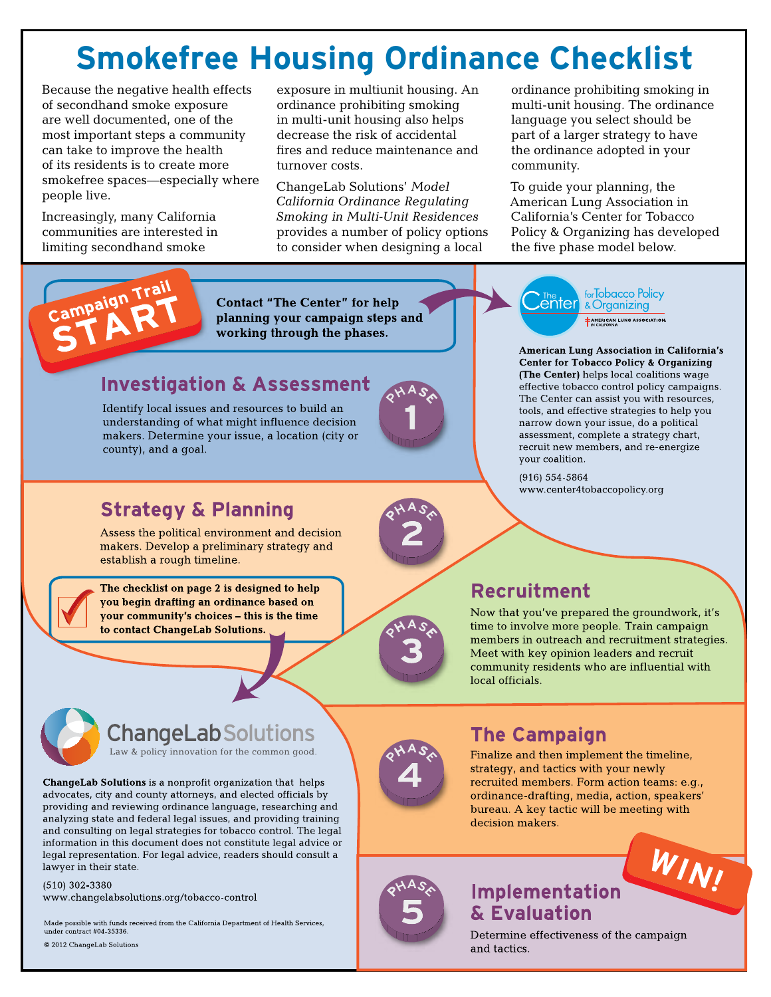# **Smokefree Housing Ordinance Checklist**

Because the negative health effects of secondhand smoke exposure are well documented, one of the most important steps a community can take to improve the health of its residents is to create more smokefree spaces—especially where people live.

Increasingly, many California communities are interested in limiting secondhand smoke

exposure in multiunit housing. An ordinance prohibiting smoking in multi-unit housing also helps decrease the risk of accidental fires and reduce maintenance and turnover costs.

ChangeLab Solutions' *Model California Ordinance Regulating Smoking in Multi-Unit Residences*  provides a number of policy options to consider when designing a local

ordinance prohibiting smoking in multi-unit housing. The ordinance language you select should be part of a larger strategy to have the ordinance adopted in your community.

To guide your planning, the American Lung Association in California's Center for Tobacco Policy & Organizing has developed the five phase model below.



**Contact "The Center" for help** planning your campaign steps and working through the phases.

## **Investigation & Assessment**

Identify local issues and resources to build an understanding of what might influence decision makers. Determine your issue, a location (city or county), and a goal.



for Tobacco Policy enter.<br> & Organizing AMERICAN LUNG ASSOCIATION

**American Lung Association in California's Center for Tobacco Policy & Organizing** (The Center) helps local coalitions wage effective tobacco control policy campaigns. The Center can assist you with resources, tools, and effective strategies to help you narrow down your issue, do a political assessment, complete a strategy chart, recruit new members, and re-energize your coalition.

 $(916) 554 - 5864$ www.center4tobaccopolicy.org

## **Strategy & Planning**

Assess the political environment and decision makers. Develop a preliminary strategy and establish a rough timeline.

The checklist on page 2 is designed to help you begin drafting an ordinance based on your community's choices – this is the time to contact ChangeLab Solutions.



## Recruitment

Now that you've prepared the groundwork, it's time to involve more people. Train campaign members in outreach and recruitment strategies. Meet with key opinion leaders and recruit community residents who are influential with local officials.

### **ChangeLabSolutions** Law & policy innovation for the common good.

ChangeLab Solutions is a nonprofit organization that helps advocates, city and county attorneys, and elected officials by providing and reviewing ordinance language, researching and analyzing state and federal legal issues, and providing training and consulting on legal strategies for tobacco control. The legal information in this document does not constitute legal advice or legal representation. For legal advice, readers should consult a lawyer in their state.

 $(510)$  302-3380 www.changelabsolutions.org/tobacco-control

Made possible with funds received from the California Department of Health Services, under contract #04 35336 © 2012 ChangeLab Solutions



## **The Campaign**

Finalize and then implement the timeline, strategy, and tactics with your newly recruited members. Form action teams: e.g., ordinance-drafting, media, action, speakers' bureau. A key tactic will be meeting with decision makers.

WIN!



## Implementation & Evaluation

Determine effectiveness of the campaign and tactics.